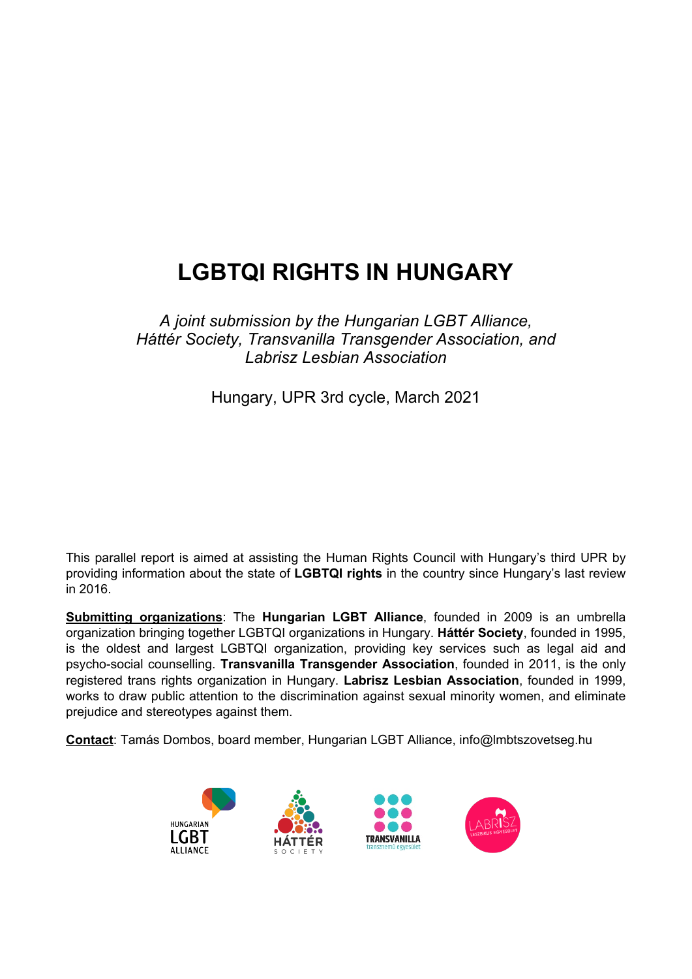# **LGBTQI RIGHTS IN HUNGARY**

*A joint submission by the Hungarian LGBT Alliance, Háttér Society, Transvanilla Transgender Association, and Labrisz Lesbian Association*

Hungary, UPR 3rd cycle, March 2021

This parallel report is aimed at assisting the Human Rights Council with Hungary'<sup>s</sup> third UPR by providing information about the state of **LGBTQI rights** in the country since Hungary'<sup>s</sup> last review in 2016.

**Submitting organizations**: The **Hungarian LGBT Alliance**, founded in 2009 is an umbrella organization bringing together LGBTQI organizations in Hungary. **Háttér Society**, founded in 1995, is the oldest and largest LGBTQI organization, providing key services such as legal aid and psycho-social counselling. **Transvanilla Transgender Association**, founded in 2011, is the only registered trans rights organization in Hungary. **Labrisz Lesbian Association**, founded in 1999, works to draw public attention to the discrimination against sexual minority women, and eliminate prejudice and stereotypes against them.

**Contact**: Tamás Dombos, board member, Hungarian LGBT Alliance, info@lmbtszovetseg.hu

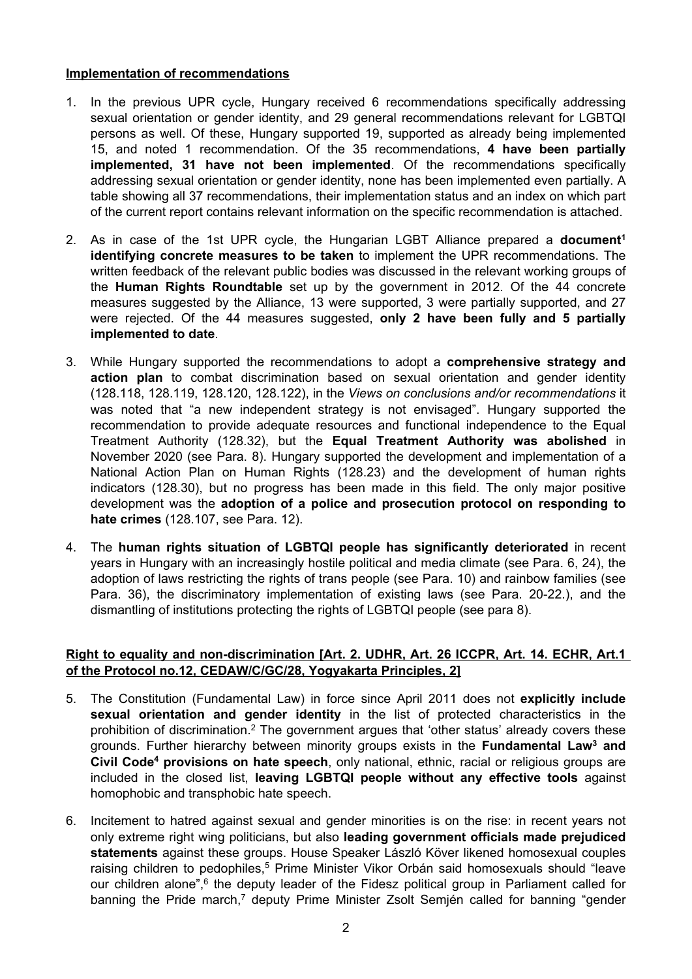#### **Implementation of recommendations**

- 1. In the previous UPR cycle, Hungary received 6 recommendations specifically addressing sexual orientation or gender identity, and 29 general recommendations relevant for LGBTQI persons as well. Of these, Hungary supported 19, supported as already being implemented 15, and noted 1 recommendation. Of the 35 recommendations, **4 have been partially implemented, 31 have not been implemented**. Of the recommendations specifically addressing sexual orientation or gender identity, none has been implemented even partially. A table showing all 37 recommendations, their implementation status and an index on which part of the current report contains relevant information on the specific recommendation is attached.
- 2. As in case of the 1st UPR cycle, the Hungarian LGBT Alliance prepared <sup>a</sup> **document 1 identifying concrete measures to be taken** to implement the UPR recommendations. The written feedback of the relevant public bodies was discussed in the relevant working groups of the **Human Rights Roundtable** set up by the government in 2012. Of the 44 concrete measures suggested by the Alliance, 13 were supported, 3 were partially supported, and 27 were rejected. Of the 44 measures suggested, **only 2 have been fully and 5 partially implemented to date**.
- 3. While Hungary supported the recommendations to adopt <sup>a</sup> **comprehensive strategy and action plan** to combat discrimination based on sexual orientation and gender identity (128.118, 128.119, 128.120, 128.122), in the *Views on conclusions and/or recommendations* it was noted that "<sup>a</sup> new independent strategy is not envisaged". Hungary supported the recommendation to provide adequate resources and functional independence to the Equal Treatment Authority (128.32), but the **Equal Treatment Authority was abolished** in November 2020 (see Para. 8). Hungary supported the development and implementation of <sup>a</sup> National Action Plan on Human Rights (128.23) and the development of human rights indicators (128.30), but no progress has been made in this field. The only major positive development was the **adoption of <sup>a</sup> police and prosecution protocol on responding to hate crimes** (128.107, see Para. 12).
- 4. The **human rights situation of LGBTQI people has significantly deteriorated** in recent years in Hungary with an increasingly hostile political and media climate (see Para. 6, 24), the adoption of laws restricting the rights of trans people (see Para. 10) and rainbow families (see Para. 36), the discriminatory implementation of existing laws (see Para. 20-22.), and the dismantling of institutions protecting the rights of LGBTQI people (see para 8).

#### **Right to equality and non-discrimination [Art. 2. UDHR, Art. 26 ICCPR, Art. 14. ECHR, Art.1 of the Protocol no.12, CEDAW/C/GC/28, Yogyakarta Principles, 2]**

- 5. The Constitution (Fundamental Law) in force since April 2011 does not **explicitly include sexual orientation and gender identity** in the list of protected characteristics in the prohibition of discrimination. $^2$  The government argues that 'other status' already covers these grounds. Further hierarchy between minority groups exists in the **Fundamental Law<sup>3</sup> and Civil Code<sup>4</sup> provisions on hate speech**, only national, ethnic, racial or religious groups are included in the closed list, **leaving LGBTQI people without any effective tools** against homophobic and transphobic hate speech.
- 6. Incitement to hatred against sexual and gender minorities is on the rise: in recent years not only extreme right wing politicians, but also **leading government officials made prejudiced statements** against these groups. House Speaker László Köver likened homosexual couples raising children to pedophiles, <sup>5</sup> Prime Minister Vikor Orbán said homosexuals should "leave our children alone",<sup>6</sup> the deputy leader of the Fidesz political group in Parliament called for banning the Pride march,<sup>7</sup> deputy Prime Minister Zsolt Semjén called for banning "gender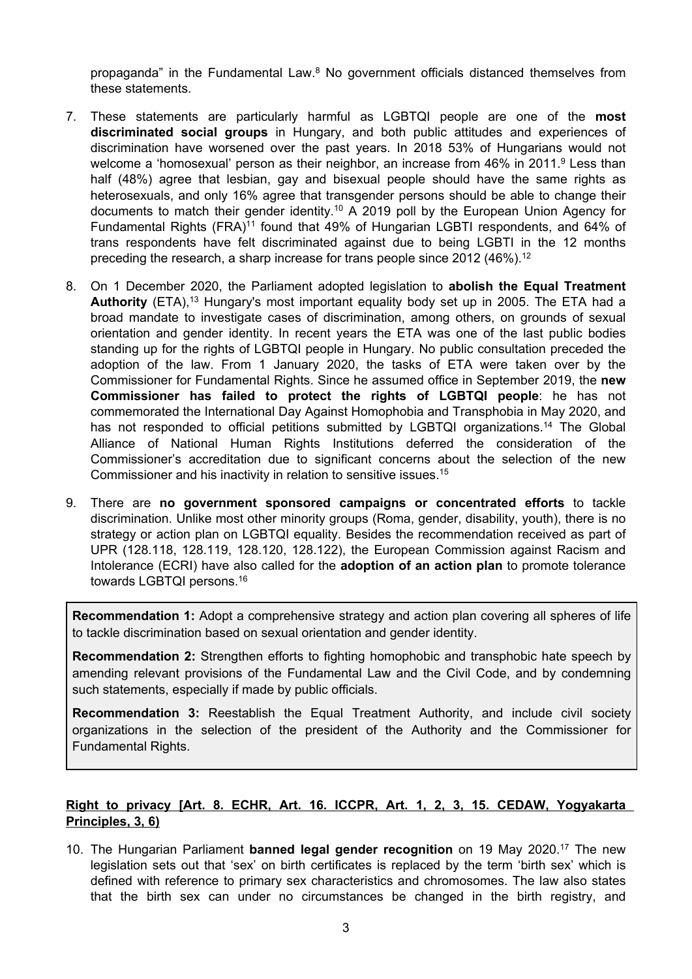propaganda" in the Fundamental Law.<sup>8</sup> No government officials distanced themselves from these statements.

- 7. These statements are particularly harmful as LGBTQI people are one of the **most discriminated social groups** in Hungary, and both public attitudes and experiences of discrimination have worsened over the past years. In 2018 53% of Hungarians would not welcome a 'homosexual' person as their neighbor, an increase from 46% in 2011.<sup>9</sup> Less than half (48%) agree that lesbian, gay and bisexual people should have the same rights as heterosexuals, and only 16% agree that transgender persons should be able to change their documents to match their gender identity. <sup>10</sup> A 2019 poll by the European Union Agency for Fundamental Rights (FRA)<sup>11</sup> found that 49% of Hungarian LGBTI respondents, and 64% of trans respondents have felt discriminated against due to being LGBTI in the 12 months preceding the research, a sharp increase for trans people since 2012 (46%). $^{\rm 12}$
- 8. On 1 December 2020, the Parliament adopted legislation to **abolish the Equal Treatment Authority** (ETA),<sup>13</sup> Hungary's most important equality body set up in 2005. The ETA had a broad mandate to investigate cases of discrimination, among others, on grounds of sexual orientation and gender identity. In recent years the ETA was one of the last public bodies standing up for the rights of LGBTQI people in Hungary. No public consultation preceded the adoption of the law. From 1 January 2020, the tasks of ETA were taken over by the Commissioner for Fundamental Rights. Since he assumed office in September 2019, the **new Commissioner has failed to protect the rights of LGBTQI people**: he has not commemorated the International Day Against Homophobia and Transphobia in May 2020, and has not responded to official petitions submitted by LGBTQI organizations.<sup>14</sup> The Global Alliance of National Human Rights Institutions deferred the consideration of the Commissioner'<sup>s</sup> accreditation due to significant concerns about the selection of the new Commissioner and his inactivity in relation to sensitive issues. 15
- 9. There are **no government sponsored campaigns or concentrated efforts** to tackle discrimination. Unlike most other minority groups (Roma, gender, disability, youth), there is no strategy or action plan on LGBTQI equality. Besides the recommendation received as part of UPR (128.118, 128.119, 128.120, 128.122), the European Commission against Racism and Intolerance (ECRI) have also called for the **adoption of an action plan** to promote tolerance towards LGBTQI persons. 16

**Recommendation 1:** Adopt <sup>a</sup> comprehensive strategy and action plan covering all spheres of life to tackle discrimination based on sexual orientation and gender identity.

**Recommendation 2:** Strengthen efforts to fighting homophobic and transphobic hate speech by amending relevant provisions of the Fundamental Law and the Civil Code, and by condemning such statements, especially if made by public officials.

**Recommendation 3:** Reestablish the Equal Treatment Authority, and include civil society organizations in the selection of the president of the Authority and the Commissioner for Fundamental Rights.

# **Right to privacy [Art. 8. ECHR, Art. 16. ICCPR, Art. 1, 2, 3, 15. CEDAW, Yogyakarta Principles, 3, 6)**

10. The Hungarian Parliament **banned legal gender recognition** on 19 May 2020. 17 The new legislation sets out that 'sex' on birth certificates is replaced by the term 'birth sex' which is defined with reference to primary sex characteristics and chromosomes. The law also states that the birth sex can under no circumstances be changed in the birth registry, and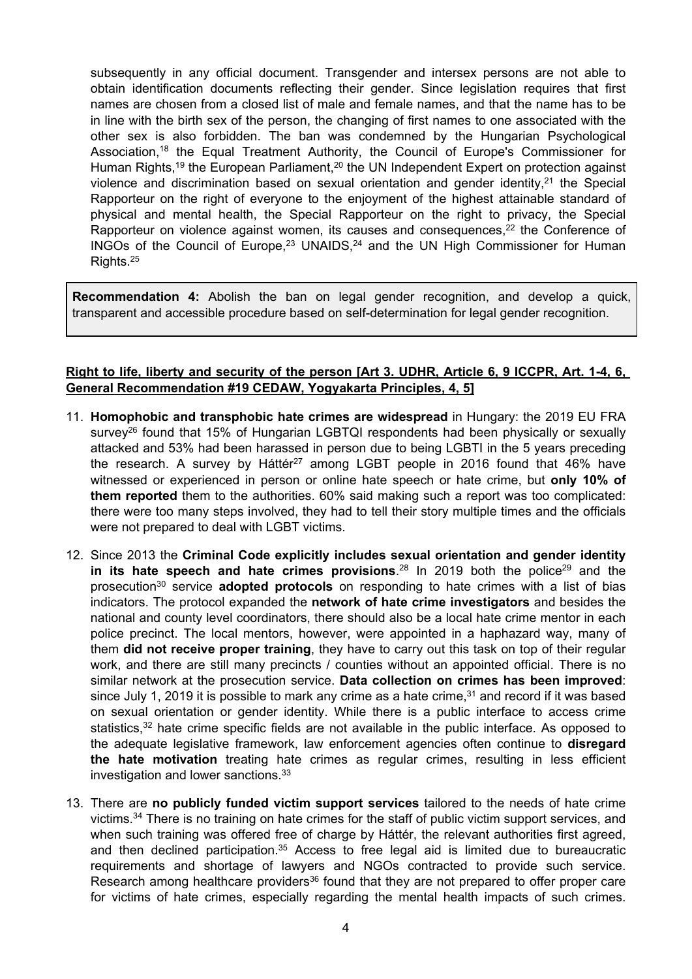subsequently in any official document. Transgender and intersex persons are not able to obtain identification documents reflecting their gender. Since legislation requires that first names are chosen from <sup>a</sup> closed list of male and female names, and that the name has to be in line with the birth sex of the person, the changing of first names to one associated with the other sex is also forbidden. The ban was condemned by the Hungarian Psychological Association,<sup>18</sup> the Equal Treatment Authority, the Council of Europe's Commissioner for Human Rights,<sup>19</sup> the European Parliament,<sup>20</sup> the UN Independent Expert on protection against violence and discrimination based on sexual orientation and gender identity, $^{21}$  the Special Rapporteur on the right of everyone to the enjoyment of the highest attainable standard of physical and mental health, the Special Rapporteur on the right to privacy, the Special Rapporteur on violence against women, its causes and consequences,<sup>22</sup> the Conference of INGOs of the Council of Europe, $^{23}$  UNAIDS, $^{24}$  and the UN High Commissioner for Human Rights. 25

**Recommendation 4:** Abolish the ban on legal gender recognition, and develop <sup>a</sup> quick, transparent and accessible procedure based on self-determination for legal gender recognition.

#### Right to life, liberty and security of the person [Art 3. UDHR, Article 6, 9 ICCPR, Art. 1-4, 6, **General Recommendation #19 CEDAW, Yogyakarta Principles, 4, 5]**

- 11. **Homophobic and transphobic hate crimes are widespread** in Hungary: the 2019 EU FRA survey<sup>26</sup> found that 15% of Hungarian LGBTQI respondents had been physically or sexually attacked and 53% had been harassed in person due to being LGBTI in the 5 years preceding the research. A survey by Háttér<sup>27</sup> among LGBT people in 2016 found that 46% have witnessed or experienced in person or online hate speech or hate crime, but **only 10% of them reported** them to the authorities. 60% said making such <sup>a</sup> report was too complicated: there were too many steps involved, they had to tell their story multiple times and the officials were not prepared to deal with LGBT victims.
- 12. Since 2013 the **Criminal Code explicitly includes sexual orientation and gender identity in its hate speech and hate crimes provisions.<sup>28</sup> In 2019 both the police<sup>29</sup> and the** prosecution<sup>30</sup> service **adopted protocols** on responding to hate crimes with a list of bias indicators. The protocol expanded the **network of hate crime investigators** and besides the national and county level coordinators, there should also be <sup>a</sup> local hate crime mentor in each police precinct. The local mentors, however, were appointed in <sup>a</sup> haphazard way, many of them **did not receive proper training**, they have to carry out this task on top of their regular work, and there are still many precincts / counties without an appointed official. There is no similar network at the prosecution service. **Data collection on crimes has been improved**: since July 1, 2019 it is possible to mark any crime as a hate crime,<sup>31</sup> and record if it was based on sexual orientation or gender identity. While there is <sup>a</sup> public interface to access crime statistics,<sup>32</sup> hate crime specific fields are not available in the public interface. As opposed to the adequate legislative framework, law enforcement agencies often continue to **disregard the hate motivation** treating hate crimes as regular crimes, resulting in less efficient investigation and lower sanctions. $^{\rm 33}$
- 13. There are **no publicly funded victim support services** tailored to the needs of hate crime victims.<sup>34</sup> There is no training on hate crimes for the staff of public victim support services, and when such training was offered free of charge by Háttér, the relevant authorities first agreed, and then declined participation.<sup>35</sup> Access to free legal aid is limited due to bureaucratic requirements and shortage of lawyers and NGOs contracted to provide such service. Research among healthcare providers $^{\rm 36}$  found that they are not prepared to offer proper care for victims of hate crimes, especially regarding the mental health impacts of such crimes.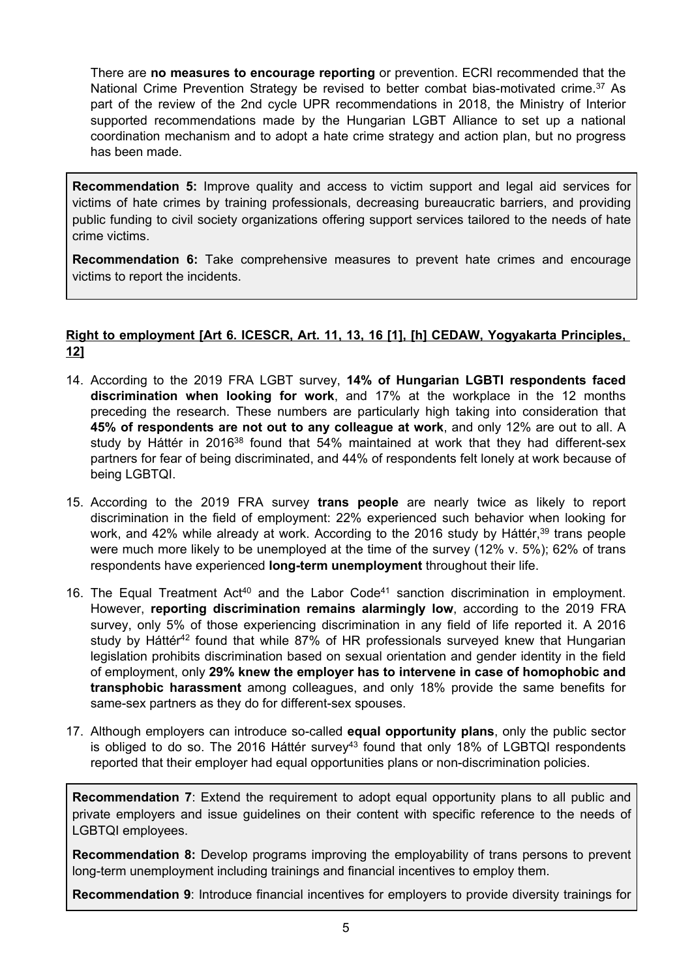There are **no measures to encourage reporting** or prevention. ECRI recommended that the National Crime Prevention Strategy be revised to better combat bias-motivated crime. <sup>37</sup> As part of the review of the 2nd cycle UPR recommendations in 2018, the Ministry of Interior supported recommendations made by the Hungarian LGBT Alliance to set up <sup>a</sup> national coordination mechanism and to adopt <sup>a</sup> hate crime strategy and action plan, but no progress has been made.

**Recommendation 5:** Improve quality and access to victim support and legal aid services for victims of hate crimes by training professionals, decreasing bureaucratic barriers, and providing public funding to civil society organizations offering support services tailored to the needs of hate crime victims.

**Recommendation 6:** Take comprehensive measures to prevent hate crimes and encourage victims to report the incidents.

### **Right to employment [Art 6. ICESCR, Art. 11, 13, 16 [1], [h] CEDAW, Yogyakarta Principles, 12]**

- 14. According to the 2019 FRA LGBT survey, **14% of Hungarian LGBTI respondents faced discrimination when looking for work**, and 17% at the workplace in the 12 months preceding the research. These numbers are particularly high taking into consideration that **45% of respondents are not out to any colleague at work**, and only 12% are out to all. A study by Háttér in 2016<sup>38</sup> found that 54% maintained at work that they had different-sex partners for fear of being discriminated, and 44% of respondents felt lonely at work because of being LGBTQI.
- 15. According to the 2019 FRA survey **trans people** are nearly twice as likely to report discrimination in the field of employment: 22% experienced such behavior when looking for work, and 42% while already at work. According to the 2016 study by Háttér,<sup>39</sup> trans people were much more likely to be unemployed at the time of the survey (12% v. 5%); 62% of trans respondents have experienced **long-term unemployment** throughout their life.
- 16. The Equal Treatment Act<sup>40</sup> and the Labor Code<sup>41</sup> sanction discrimination in employment. However, **reporting discrimination remains alarmingly low**, according to the 2019 FRA survey, only 5% of those experiencing discrimination in any field of life reported it. A 2016 study by Háttér<sup>42</sup> found that while 87% of HR professionals surveyed knew that Hungarian legislation prohibits discrimination based on sexual orientation and gender identity in the field of employment, only **29% knew the employer has to intervene in case of homophobic and transphobic harassment** among colleagues, and only 18% provide the same benefits for same-sex partners as they do for different-sex spouses.
- 17. Although employers can introduce so-called **equal opportunity plans**, only the public sector is obliged to do so. The 2016 Hatter survey<sup>43</sup> found that only 18% of LGBTQI respondents reported that their employer had equal opportunities plans or non-discrimination policies.

**Recommendation 7**: Extend the requirement to adopt equal opportunity plans to all public and private employers and issue guidelines on their content with specific reference to the needs of LGBTQI employees.

**Recommendation 8:** Develop programs improving the employability of trans persons to prevent long-term unemployment including trainings and financial incentives to employ them.

**Recommendation 9**: Introduce financial incentives for employers to provide diversity trainings for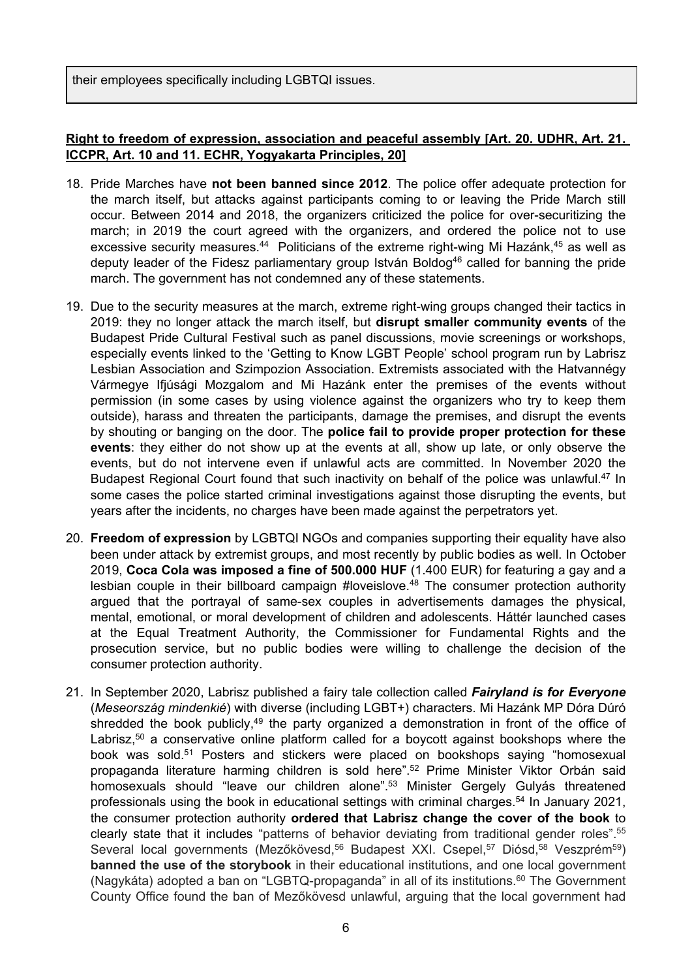their employees specifically including LGBTQI issues.

### **Right to freedom of expression, association and peaceful assembly [Art. 20. UDHR, Art. 21. ICCPR, Art. 10 and 11. ECHR, Yogyakarta Principles, 20]**

- 18. Pride Marches have **not been banned since 2012**. The police offer adequate protection for the march itself, but attacks against participants coming to or leaving the Pride March still occur. Between 2014 and 2018, the organizers criticized the police for over-securitizing the march; in 2019 the court agreed with the organizers, and ordered the police not to use excessive security measures.<sup>44</sup> Politicians of the extreme right-wing Mi Hazánk,<sup>45</sup> as well as deputy leader of the Fidesz parliamentary group István Boldog<sup>46</sup> called for banning the pride march. The government has not condemned any of these statements.
- 19. Due to the security measures at the march, extreme right-wing groups changed their tactics in 2019: they no longer attack the march itself, but **disrupt smaller community events** of the Budapest Pride Cultural Festival such as panel discussions, movie screenings or workshops, especially events linked to the 'Getting to Know LGBT People' school program run by Labrisz Lesbian Association and Szimpozion Association. Extremists associated with the Hatvannégy Vármegye Ifjúsági Mozgalom and Mi Hazánk enter the premises of the events without permission (in some cases by using violence against the organizers who try to keep them outside), harass and threaten the participants, damage the premises, and disrupt the events by shouting or banging on the door. The **police fail to provide proper protection for these events**: they either do not show up at the events at all, show up late, or only observe the events, but do not intervene even if unlawful acts are committed. In November 2020 the Budapest Regional Court found that such inactivity on behalf of the police was unlawful.<sup>47</sup> In some cases the police started criminal investigations against those disrupting the events, but years after the incidents, no charges have been made against the perpetrators yet.
- 20. **Freedom of expression** by LGBTQI NGOs and companies supporting their equality have also been under attack by extremist groups, and most recently by public bodies as well. In October 2019, **Coca Cola was imposed <sup>a</sup> fine of 500.000 HUF** (1.400 EUR) for featuring <sup>a</sup> gay and <sup>a</sup> lesbian couple in their billboard campaign #loveislove. 48 The consumer protection authority argued that the portrayal of same-sex couples in advertisements damages the physical, mental, emotional, or moral development of children and adolescents. Háttér launched cases at the Equal Treatment Authority, the Commissioner for Fundamental Rights and the prosecution service, but no public bodies were willing to challenge the decision of the consumer protection authority.
- 21. In September 2020, Labrisz published <sup>a</sup> fairy tale collection called *Fairyland is for Everyone* (*Meseország mindenkié*) with diverse (including LGBT+) characters. Mi Hazánk MP Dóra Dúró shredded the book publicly,<sup>49</sup> the party organized a demonstration in front of the office of Labrisz, $^{50}$  a conservative online platform called for a boycott against bookshops where the book was sold.<sup>51</sup> Posters and stickers were placed on bookshops saying "homosexual propaganda literature harming children is sold here".<sup>52</sup> Prime Minister Viktor Orbán said homosexuals should "leave our children alone". <sup>53</sup> Minister Gergely Gulyás threatened professionals using the book in educational settings with criminal charges. 54 In January 2021, the consumer protection authority **ordered that Labrisz change the cover of the book** to clearly state that it includes "patterns of behavior deviating from traditional gender roles". 55 Several local governments (Mezőkövesd,<sup>56</sup> Budapest XXI. Csepel,<sup>57</sup> Diósd,<sup>58</sup> Veszprém<sup>59</sup>) **banned the use of the storybook** in their educational institutions, and one local government (Nagykáta) adopted a ban on "LGBTQ-propaganda" in all of its institutions.<sup>60</sup> The Government County Office found the ban of Mezőkövesd unlawful, arguing that the local government had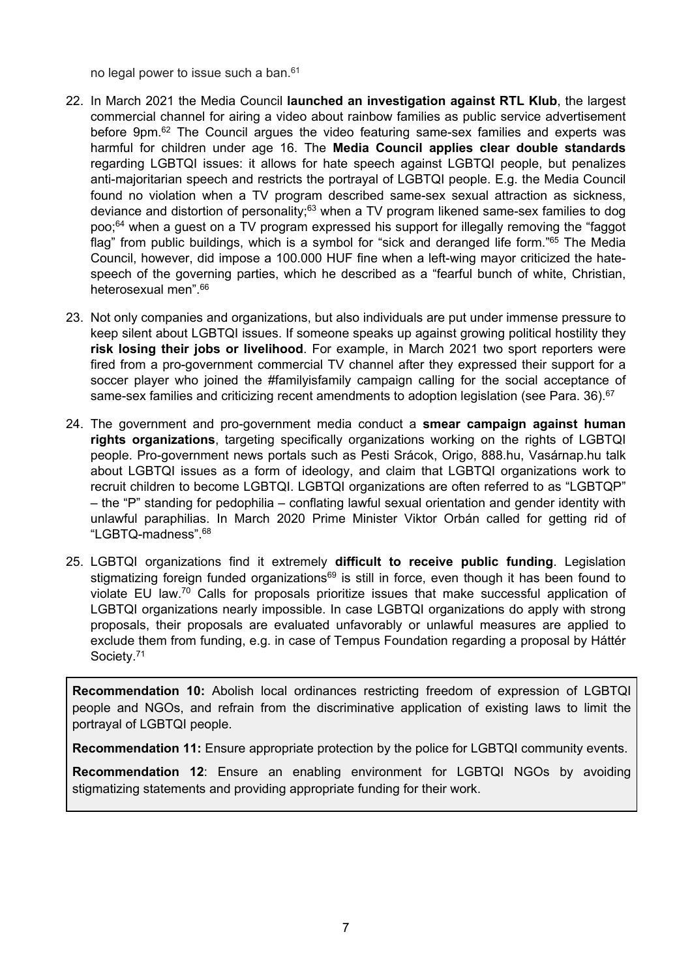no legal power to issue such a ban.<sup>61</sup>

- 22. In March 2021 the Media Council **launched an investigation against RTL Klub**, the largest commercial channel for airing <sup>a</sup> video about rainbow families as public service advertisement before 9pm.<sup>62</sup> The Council argues the video featuring same-sex families and experts was harmful for children under age 16. The **Media Council applies clear double standards** regarding LGBTQI issues: it allows for hate speech against LGBTQI people, but penalizes anti-majoritarian speech and restricts the portrayal of LGBTQI people. E.g. the Media Council found no violation when <sup>a</sup> TV program described same-sex sexual attraction as sickness, deviance and distortion of personality;<sup>63</sup> when a TV program likened same-sex families to dog poo; <sup>64</sup> when <sup>a</sup> guest on <sup>a</sup> TV program expressed his support for illegally removing the "faggot flag" from public buildings, which is <sup>a</sup> symbol for "sick and deranged life form." 65 The Media Council, however, did impose <sup>a</sup> 100.000 HUF fine when <sup>a</sup> left-wing mayor criticized the hatespeech of the governing parties, which he described as <sup>a</sup> "fearful bunch of white, Christian, heterosexual men".<sup>66</sup>
- 23. Not only companies and organizations, but also individuals are put under immense pressure to keep silent about LGBTQI issues. If someone speaks up against growing political hostility they **risk losing their jobs or livelihood**. For example, in March 2021 two sport reporters were fired from <sup>a</sup> pro-government commercial TV channel after they expressed their support for <sup>a</sup> soccer player who joined the #familyisfamily campaign calling for the social acceptance of same-sex families and criticizing recent amendments to adoption legislation (see Para. 36). $\rm ^{67}$
- 24. The government and pro-government media conduct <sup>a</sup> **smear campaign against human rights organizations**, targeting specifically organizations working on the rights of LGBTQI people. Pro-government news portals such as Pesti Srácok, Origo, 888.hu, Vasárnap.hu talk about LGBTQI issues as <sup>a</sup> form of ideology, and claim that LGBTQI organizations work to recruit children to become LGBTQI. LGBTQI organizations are often referred to as "LGBTQP" – the "P" standing for pedophilia – conflating lawful sexual orientation and gender identity with unlawful paraphilias. In March 2020 Prime Minister Viktor Orbán called for getting rid of "LGBTQ-madness". 68
- 25. LGBTQI organizations find it extremely **difficult to receive public funding**. Legislation stigmatizing foreign funded organizations<sup>69</sup> is still in force, even though it has been found to violate EU law.<sup>70</sup> Calls for proposals prioritize issues that make successful application of LGBTQI organizations nearly impossible. In case LGBTQI organizations do apply with strong proposals, their proposals are evaluated unfavorably or unlawful measures are applied to exclude them from funding, e.g. in case of Tempus Foundation regarding <sup>a</sup> proposal by Háttér Society. 71

**Recommendation 10:** Abolish local ordinances restricting freedom of expression of LGBTQI people and NGOs, and refrain from the discriminative application of existing laws to limit the portrayal of LGBTQI people.

**Recommendation 11:** Ensure appropriate protection by the police for LGBTQI community events.

**Recommendation 12**: Ensure an enabling environment for LGBTQI NGOs by avoiding stigmatizing statements and providing appropriate funding for their work.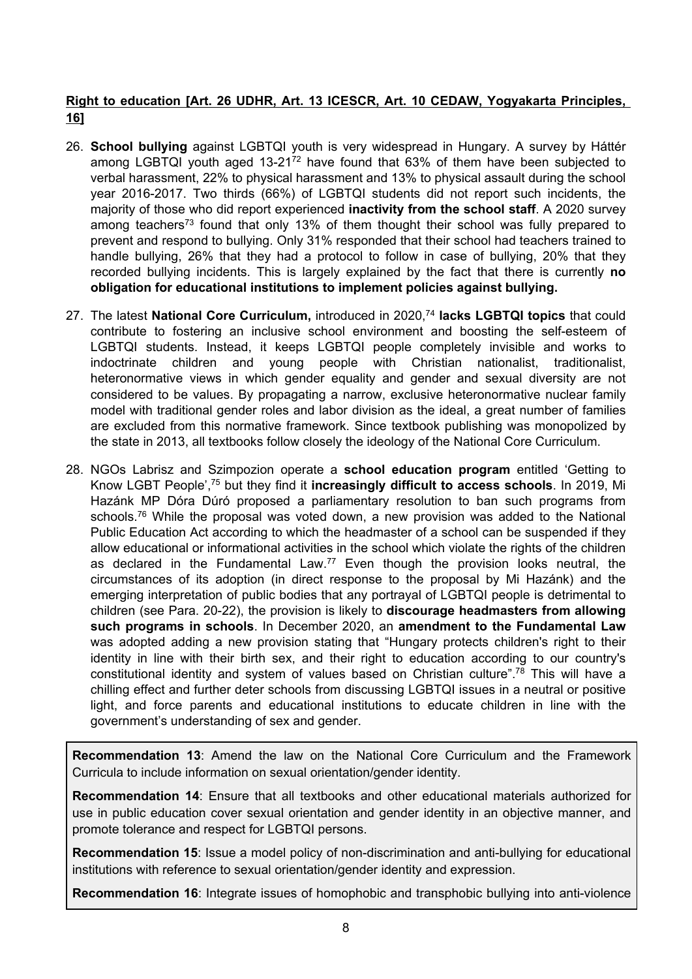# **Right to education [Art. 26 UDHR, Art. 13 ICESCR, Art. 10 CEDAW, Yogyakarta Principles, 16]**

- 26. **School bullying** against LGBTQI youth is very widespread in Hungary. A survey by Háttér among LGBTQI youth aged 13-21<sup>72</sup> have found that 63% of them have been subjected to verbal harassment, 22% to physical harassment and 13% to physical assault during the school year 2016-2017. Two thirds (66%) of LGBTQI students did not report such incidents, the majority of those who did report experienced **inactivity from the school staff**. A 2020 survey among teachers<sup>73</sup> found that only 13% of them thought their school was fully prepared to prevent and respond to bullying. Only 31% responded that their school had teachers trained to handle bullying, 26% that they had <sup>a</sup> protocol to follow in case of bullying, 20% that they recorded bullying incidents. This is largely explained by the fact that there is currently **no obligation for educational institutions to implement policies against bullying.**
- 27. The latest **National Core Curriculum,** introduced in 2020, 74 **lacks LGBTQI topics** that could contribute to fostering an inclusive school environment and boosting the self-esteem of LGBTQI students. Instead, it keeps LGBTQI people completely invisible and works to indoctrinate children and young people with Christian nationalist, traditionalist, heteronormative views in which gender equality and gender and sexual diversity are not considered to be values. By propagating <sup>a</sup> narrow, exclusive heteronormative nuclear family model with traditional gender roles and labor division as the ideal, <sup>a</sup> great number of families are excluded from this normative framework. Since textbook publishing was monopolized by the state in 2013, all textbooks follow closely the ideology of the National Core Curriculum.
- 28. NGOs Labrisz and Szimpozion operate <sup>a</sup> **school education program** entitled 'Getting to Know LGBT People',<sup>75</sup> but they find it **increasingly difficult to access schools**. In 2019, Mi Hazánk MP Dóra Dúró proposed <sup>a</sup> parliamentary resolution to ban such programs from schools. <sup>76</sup> While the proposal was voted down, <sup>a</sup> new provision was added to the National Public Education Act according to which the headmaster of <sup>a</sup> school can be suspended if they allow educational or informational activities in the school which violate the rights of the children as declared in the Fundamental Law.<sup>77</sup> Even though the provision looks neutral, the circumstances of its adoption (in direct response to the proposal by Mi Hazánk) and the emerging interpretation of public bodies that any portrayal of LGBTQI people is detrimental to children (see Para. 20-22), the provision is likely to **discourage headmasters from allowing such programs in schools**. In December 2020, an **amendment to the Fundamental Law** was adopted adding <sup>a</sup> new provision stating that "Hungary protects children's right to their identity in line with their birth sex, and their right to education according to our country's constitutional identity and system of values based on Christian culture". 78 This will have a chilling effect and further deter schools from discussing LGBTQI issues in <sup>a</sup> neutral or positive light, and force parents and educational institutions to educate children in line with the government'<sup>s</sup> understanding of sex and gender.

**Recommendation 13**: Amend the law on the National Core Curriculum and the Framework Curricula to include information on sexual orientation/gender identity.

**Recommendation 14**: Ensure that all textbooks and other educational materials authorized for use in public education cover sexual orientation and gender identity in an objective manner, and promote tolerance and respect for LGBTQI persons.

**Recommendation 15**: Issue <sup>a</sup> model policy of non-discrimination and anti-bullying for educational institutions with reference to sexual orientation/gender identity and expression.

**Recommendation 16**: Integrate issues of homophobic and transphobic bullying into anti-violence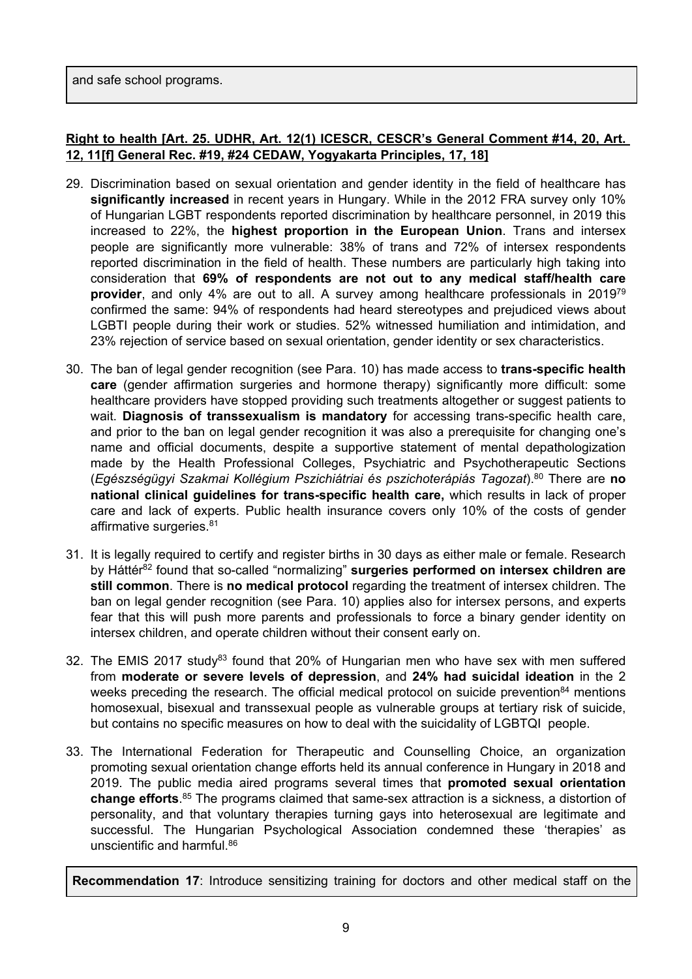and safe school programs.

# **Right to health [Art. 25. UDHR, Art. 12(1) ICESCR, CESCR'<sup>s</sup> General Comment #14, 20, Art. 12, 11[f] General Rec. #19, #24 CEDAW, Yogyakarta Principles, 17, 18]**

- 29. Discrimination based on sexual orientation and gender identity in the field of healthcare has **significantly increased** in recent years in Hungary. While in the 2012 FRA survey only 10% of Hungarian LGBT respondents reported discrimination by healthcare personnel, in 2019 this increased to 22%, the **highest proportion in the European Union**. Trans and intersex people are significantly more vulnerable: 38% of trans and 72% of intersex respondents reported discrimination in the field of health. These numbers are particularly high taking into consideration that **69% of respondents are not out to any medical staff/health care provider**, and only 4% are out to all. A survey among healthcare professionals in 2019<sup>79</sup> confirmed the same: 94% of respondents had heard stereotypes and prejudiced views about LGBTI people during their work or studies. 52% witnessed humiliation and intimidation, and 23% rejection of service based on sexual orientation, gender identity or sex characteristics.
- 30. The ban of legal gender recognition (see Para. 10) has made access to **trans-specific health care** (gender affirmation surgeries and hormone therapy) significantly more difficult: some healthcare providers have stopped providing such treatments altogether or suggest patients to wait. **Diagnosis of transsexualism is mandatory** for accessing trans-specific health care, and prior to the ban on legal gender recognition it was also <sup>a</sup> prerequisite for changing one'<sup>s</sup> name and official documents, despite <sup>a</sup> supportive statement of mental depathologization made by the Health Professional Colleges, Psychiatric and Psychotherapeutic Sections (*Egészségügyi Szakmai Kollégium Pszichiátriai és pszichoterápiás Tagozat*). 80 There are **no national clinical guidelines for trans-specific health care,** which results in lack of proper care and lack of experts. Public health insurance covers only 10% of the costs of gender affirmative surgeries.<sup>81</sup>
- 31. It is legally required to certify and register births in 30 days as either male or female. Research by Háttér 82 found that so-called "normalizing" **surgeries performed on intersex children are still common**. There is **no medical protocol** regarding the treatment of intersex children. The ban on legal gender recognition (see Para. 10) applies also for intersex persons, and experts fear that this will push more parents and professionals to force <sup>a</sup> binary gender identity on intersex children, and operate children without their consent early on.
- 32. The EMIS 2017 study<sup>83</sup> found that 20% of Hungarian men who have sex with men suffered from **moderate or severe levels of depression**, and **24% had suicidal ideation** in the 2 weeks preceding the research. The official medical protocol on suicide prevention<sup>84</sup> mentions homosexual, bisexual and transsexual people as vulnerable groups at tertiary risk of suicide, but contains no specific measures on how to deal with the suicidality of LGBTQI people.
- 33. The International Federation for Therapeutic and Counselling Choice, an organization promoting sexual orientation change efforts held its annual conference in Hungary in 2018 and 2019. The public media aired programs several times that **promoted sexual orientation change efforts**.<sup>85</sup> The programs claimed that same-sex attraction is a sickness, a distortion of personality, and that voluntary therapies turning gays into heterosexual are legitimate and successful. The Hungarian Psychological Association condemned these 'therapies' as unscientific and harmful.<sup>86</sup>

**Recommendation 17**: Introduce sensitizing training for doctors and other medical staff on the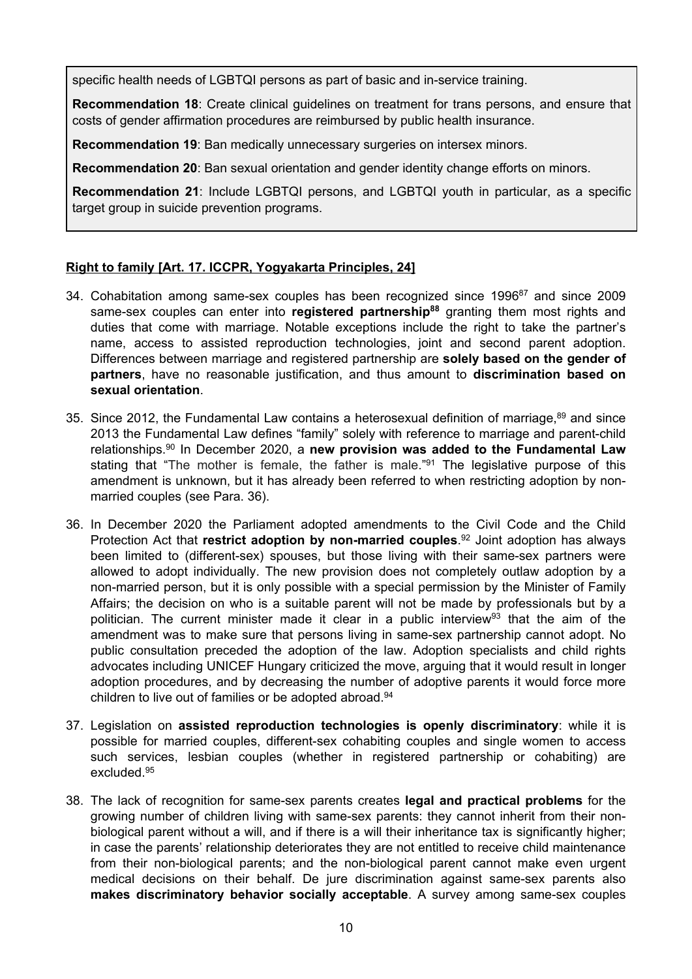specific health needs of LGBTQI persons as part of basic and in-service training.

**Recommendation 18**: Create clinical guidelines on treatment for trans persons, and ensure that costs of gender affirmation procedures are reimbursed by public health insurance.

**Recommendation 19**: Ban medically unnecessary surgeries on intersex minors.

**Recommendation 20**: Ban sexual orientation and gender identity change efforts on minors.

**Recommendation 21**: Include LGBTQI persons, and LGBTQI youth in particular, as <sup>a</sup> specific target group in suicide prevention programs.

#### **Right to family [Art. 17. ICCPR, Yogyakarta Principles, 24]**

- 34. Cohabitation among same-sex couples has been recognized since 1996 $^{\rm 87}$  and since 2009 same-sex couples can enter into **registered partnership<sup>88</sup>** granting them most rights and duties that come with marriage. Notable exceptions include the right to take the partner'<sup>s</sup> name, access to assisted reproduction technologies, joint and second parent adoption. Differences between marriage and registered partnership are **solely based on the gender of partners**, have no reasonable justification, and thus amount to **discrimination based on sexual orientation**.
- 35. Since 2012, the Fundamental Law contains a heterosexual definition of marriage, $^{\rm 89}$  and since 2013 the Fundamental Law defines "family" solely with reference to marriage and parent-child relationships. 90 In December 2020, <sup>a</sup> **new provision was added to the Fundamental Law** stating that "The mother is female, the father is male."<sup>91</sup> The legislative purpose of this amendment is unknown, but it has already been referred to when restricting adoption by nonmarried couples (see Para. 36).
- 36. In December 2020 the Parliament adopted amendments to the Civil Code and the Child Protection Act that **restrict adoption by non-married couples**. 92 Joint adoption has always been limited to (different-sex) spouses, but those living with their same-sex partners were allowed to adopt individually. The new provision does not completely outlaw adoption by <sup>a</sup> non-married person, but it is only possible with <sup>a</sup> special permission by the Minister of Family Affairs; the decision on who is <sup>a</sup> suitable parent will not be made by professionals but by <sup>a</sup> politician. The current minister made it clear in a public interview<sup>93</sup> that the aim of the amendment was to make sure that persons living in same-sex partnership cannot adopt. No public consultation preceded the adoption of the law. Adoption specialists and child rights advocates including UNICEF Hungary criticized the move, arguing that it would result in longer adoption procedures, and by decreasing the number of adoptive parents it would force more children to live out of families or be adopted abroad. 94
- 37. Legislation on **assisted reproduction technologies is openly discriminatory**: while it is possible for married couples, different-sex cohabiting couples and single women to access such services, lesbian couples (whether in registered partnership or cohabiting) are excluded.<sup>95</sup>
- 38. The lack of recognition for same-sex parents creates **legal and practical problems** for the growing number of children living with same-sex parents: they cannot inherit from their nonbiological parent without <sup>a</sup> will, and if there is <sup>a</sup> will their inheritance tax is significantly higher; in case the parents' relationship deteriorates they are not entitled to receive child maintenance from their non-biological parents; and the non-biological parent cannot make even urgent medical decisions on their behalf. De jure discrimination against same-sex parents also **makes discriminatory behavior socially acceptable**. A survey among same-sex couples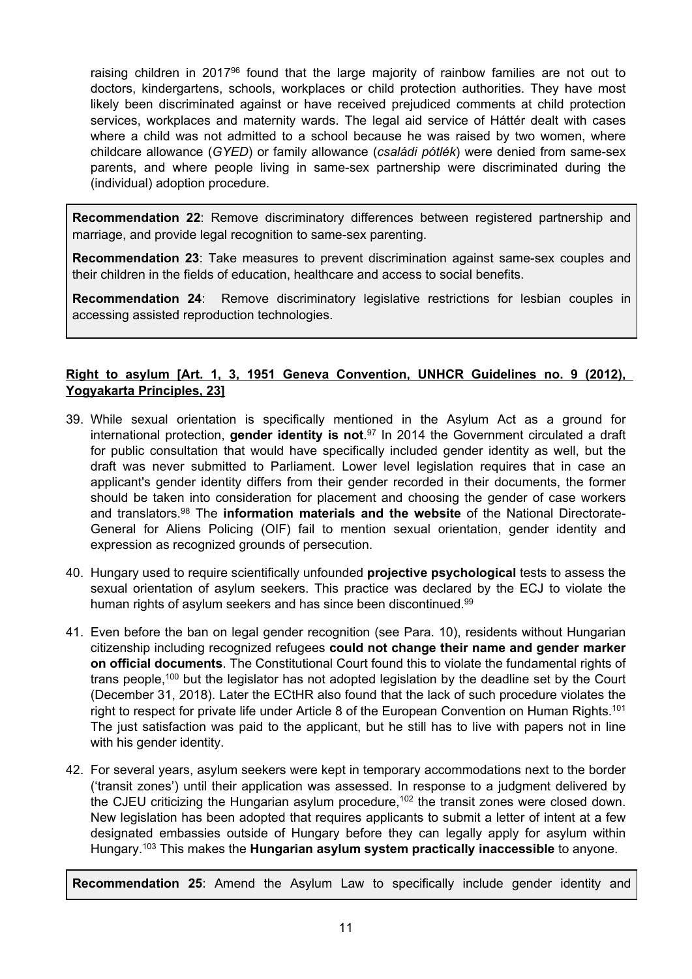raising children in 2017<sup>96</sup> found that the large majority of rainbow families are not out to doctors, kindergartens, schools, workplaces or child protection authorities. They have most likely been discriminated against or have received prejudiced comments at child protection services, workplaces and maternity wards. The legal aid service of Háttér dealt with cases where <sup>a</sup> child was not admitted to <sup>a</sup> school because he was raised by two women, where childcare allowance (*GYED*) or family allowance (*családi pótlék*) were denied from same-sex parents, and where people living in same-sex partnership were discriminated during the (individual) adoption procedure.

**Recommendation 22**: Remove discriminatory differences between registered partnership and marriage, and provide legal recognition to same-sex parenting.

**Recommendation 23**: Take measures to prevent discrimination against same-sex couples and their children in the fields of education, healthcare and access to social benefits.

**Recommendation 24**: Remove discriminatory legislative restrictions for lesbian couples in accessing assisted reproduction technologies.

# **Right to asylum [Art. 1, 3, 1951 Geneva Convention, UNHCR Guidelines no. 9 (2012), Yogyakarta Principles, 23]**

- 39. While sexual orientation is specifically mentioned in the Asylum Act as <sup>a</sup> ground for international protection, **gender identity is not**. 97 In 2014 the Government circulated a draft for public consultation that would have specifically included gender identity as well, but the draft was never submitted to Parliament. Lower level legislation requires that in case an applicant's gender identity differs from their gender recorded in their documents, the former should be taken into consideration for placement and choosing the gender of case workers and translators. 98 The **information materials and the website** of the National Directorate-General for Aliens Policing (OIF) fail to mention sexual orientation, gender identity and expression as recognized grounds of persecution.
- 40. Hungary used to require scientifically unfounded **projective psychological** tests to assess the sexual orientation of asylum seekers. This practice was declared by the ECJ to violate the human rights of asylum seekers and has since been discontinued.<sup>99</sup>
- 41. Even before the ban on legal gender recognition (see Para. 10), residents without Hungarian citizenship including recognized refugees **could not change their name and gender marker on official documents**. The Constitutional Court found this to violate the fundamental rights of trans people,<sup>100</sup> but the legislator has not adopted legislation by the deadline set by the Court (December 31, 2018). Later the ECtHR also found that the lack of such procedure violates the right to respect for private life under Article 8 of the European Convention on Human Rights. $^{10^{\circ}}$ The just satisfaction was paid to the applicant, but he still has to live with papers not in line with his gender identity.
- 42. For several years, asylum seekers were kept in temporary accommodations next to the border ('transit zones') until their application was assessed. In response to <sup>a</sup> judgment delivered by the CJEU criticizing the Hungarian asylum procedure,<sup>102</sup> the transit zones were closed down. New legislation has been adopted that requires applicants to submit <sup>a</sup> letter of intent at <sup>a</sup> few designated embassies outside of Hungary before they can legally apply for asylum within Hungary. 103 This makes the **Hungarian asylum system practically inaccessible** to anyone.

**Recommendation 25**: Amend the Asylum Law to specifically include gender identity and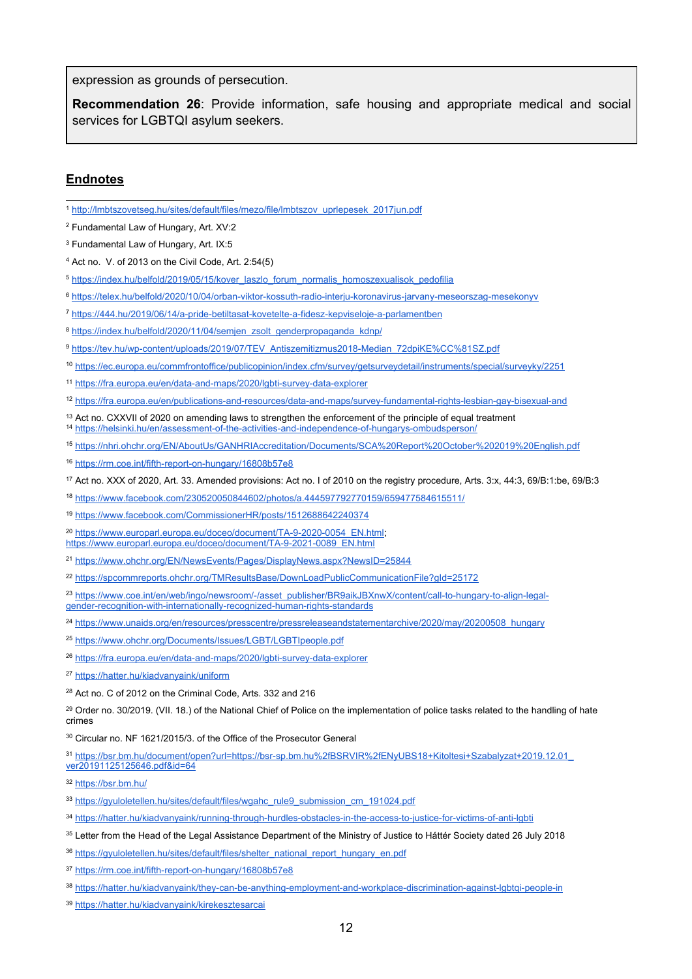expression as grounds of persecution.

**Recommendation 26**: Provide information, safe housing and appropriate medical and social services for LGBTQI asylum seekers.

#### **Endnotes**

- 1 [http://lmbtszovetseg.hu/sites/default/files/mezo/file/lmbtszov\\_uprlepesek\\_2017jun.pdf](http://lmbtszovetseg.hu/sites/default/files/mezo/file/lmbtszov_uprlepesek_2017jun.pdf)
- 2 Fundamental Law of Hungary, Art. XV:2
- 3 Fundamental Law of Hungary, Art. IX:5
- <sup>4</sup> Act no. V. of 2013 on the Civil Code, Art. 2:54(5)
- 5 [https://index.hu/belfold/2019/05/15/kover\\_laszlo\\_forum\\_normalis\\_homoszexualisok\\_pedofilia](https://index.hu/belfold/2019/05/15/kover_laszlo_forum_normalis_homoszexualisok_pedofilia)
- 6 <https://telex.hu/belfold/2020/10/04/orban-viktor-kossuth-radio-interju-koronavirus-jarvany-meseorszag-mesekonyv>
- 7 <https://444.hu/2019/06/14/a-pride-betiltasat-kovetelte-a-fidesz-kepviseloje-a-parlamentben>
- <sup>8</sup> [https://index.hu/belfold/2020/11/04/semjen\\_zsolt\\_genderpropaganda\\_kdnp/](https://index.hu/belfold/2020/11/04/semjen_zsolt_genderpropaganda_kdnp/)
- 9 [https://tev.hu/wp-content/uploads/2019/07/TEV\\_Antiszemitizmus2018-Median\\_72dpiKE%CC%81SZ.pdf](https://tev.hu/wp-content/uploads/2019/07/TEV_Antiszemitizmus2018-Median_72dpiKE%CC%81SZ.pdf)
- 10 <https://ec.europa.eu/commfrontoffice/publicopinion/index.cfm/survey/getsurveydetail/instruments/special/surveyky/2251>
- 11 <https://fra.europa.eu/en/data-and-maps/2020/lgbti-survey-data-explorer>
- 12 <https://fra.europa.eu/en/publications-and-resources/data-and-maps/survey-fundamental-rights-lesbian-gay-bisexual-and>
- <sup>13</sup> Act no. CXXVII of 2020 on amending laws to strengthen the enforcement of the principle of equal treatment 14 <https://helsinki.hu/en/assessment-of-the-activities-and-independence-of-hungarys-ombudsperson/>
- 
- 15 <https://nhri.ohchr.org/EN/AboutUs/GANHRIAccreditation/Documents/SCA%20Report%20October%202019%20English.pdf>
- 16 <https://rm.coe.int/fifth-report-on-hungary/16808b57e8>
- <sup>17</sup> Act no. XXX of 2020, Art. 33. Amended provisions: Act no. I of 2010 on the registry procedure, Arts. 3:x, 44:3, 69/B:1:be, 69/B:3
- 18 <https://www.facebook.com/230520050844602/photos/a.444597792770159/659477584615511/>
- 19 <https://www.facebook.com/CommissionerHR/posts/1512688642240374>
- <sup>20</sup> [https://www.europarl.europa.eu/doceo/document/TA-9-2020-0054\\_EN.html](https://www.europarl.europa.eu/doceo/document/TA-9-2020-0054_EN.html) [https://www.europarl.europa.eu/doceo/document/TA-9-2021-0089\\_EN.html](https://www.europarl.europa.eu/doceo/document/TA-9-2021-0089_EN.html)
- 21 <https://www.ohchr.org/EN/NewsEvents/Pages/DisplayNews.aspx?NewsID=25844>
- 22 <https://spcommreports.ohchr.org/TMResultsBase/DownLoadPublicCommunicationFile?gId=25172>
- 23 [https://www.coe.int/en/web/ingo/newsroom/-/asset\\_publisher/BR9aikJBXnwX/content/call-to-hungary-to-align-legal](https://www.coe.int/en/web/ingo/newsroom/-/asset_publisher/BR9aikJBXnwX/content/call-to-hungary-to-align-legal-gender-recognition-with-internationally-recognized-human-rights-standards)[gender-recognition-with-internationally-recognized-human-rights-standards](https://www.coe.int/en/web/ingo/newsroom/-/asset_publisher/BR9aikJBXnwX/content/call-to-hungary-to-align-legal-gender-recognition-with-internationally-recognized-human-rights-standards)
- <sup>24</sup> [https://www.unaids.org/en/resources/presscentre/pressreleaseandstatementarchive/2020/may/20200508\\_hungary](https://www.unaids.org/en/resources/presscentre/pressreleaseandstatementarchive/2020/may/20200508_hungary)
- <sup>25</sup> <u><https://www.ohchr.org/Documents/Issues/LGBT/LGBTIpeople.pdf></u>
- <sup>26</sup> <u><https://fra.europa.eu/en/data-and-maps/2020/lgbti-survey-data-explorer></u>
- <sup>27</sup> <https://hatter.hu/kiadvanyaink/uniform>
- <sup>28</sup> Act no. C of 2012 on the Criminal Code, Arts. 332 and 216
- <sup>29</sup> Order no. 30/2019. (VII. 18.) of the National Chief of Police on the implementation of police tasks related to the handling of hate crimes
- <sup>30</sup> Circular no. NF 1621/2015/3. of the Office of the Prosecutor General
- 31 [https://bsr.bm.hu/document/open?url=https://bsr-sp.bm.hu%2fBSRVIR%2fENyUBS18+Kitoltesi+Szabalyzat+2019.12.01\\_](https://bsr.bm.hu/document/open?url=https://bsr-sp.bm.hu%2fBSRVIR%2fENyUBS18+Kitoltesi+Szabalyzat+2019.12.01_ver20191125125646.pdf&id=64) [ver20191125125646.pdf&id=64](https://bsr.bm.hu/document/open?url=https://bsr-sp.bm.hu%2fBSRVIR%2fENyUBS18+Kitoltesi+Szabalyzat+2019.12.01_ver20191125125646.pdf&id=64)

- <sup>33</sup> [https://gyuloletellen.hu/sites/default/files/wgahc\\_rule9\\_submission\\_cm\\_191024.pdf](https://gyuloletellen.hu/sites/default/files/wgahc_rule9_submission_cm_191024.pdf)
- 34 <https://hatter.hu/kiadvanyaink/running-through-hurdles-obstacles-in-the-access-to-justice-for-victims-of-anti-lgbti>
- <sup>35</sup> Letter from the Head of the Legal Assistance Department of the Ministry of Justice to Háttér Society dated 26 July 2018
- <sup>36</sup> [https://gyuloletellen.hu/sites/default/files/shelter\\_national\\_report\\_hungary\\_en.pdf](https://gyuloletellen.hu/sites/default/files/shelter_national_report_hungary_en.pdf)
- 37 <https://rm.coe.int/fifth-report-on-hungary/16808b57e8>
- 38 <https://hatter.hu/kiadvanyaink/they-can-be-anything-employment-and-workplace-discrimination-against-lgbtqi-people-in>
- <sup>39</sup> <https://hatter.hu/kiadvanyaink/kirekesztesarcai>

<sup>32</sup> <https://bsr.bm.hu/>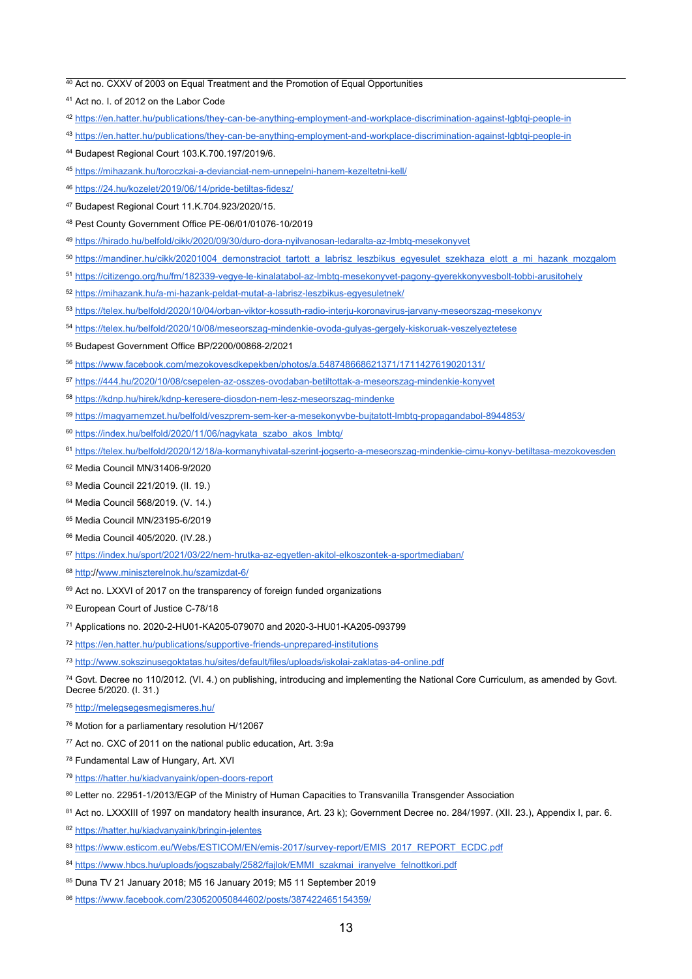<sup>40</sup> Act no. CXXV of 2003 on Equal Treatment and the Promotion of Equal Opportunities

- 42 <https://en.hatter.hu/publications/they-can-be-anything-employment-and-workplace-discrimination-against-lgbtqi-people-in>
- 43 <https://en.hatter.hu/publications/they-can-be-anything-employment-and-workplace-discrimination-against-lgbtqi-people-in>
- <sup>44</sup> Budapest Regional Court 103.K.700.197/2019/6.
- 45 <https://mihazank.hu/toroczkai-a-devianciat-nem-unnepelni-hanem-kezeltetni-kell/>
- 46 <https://24.hu/kozelet/2019/06/14/pride-betiltas-fidesz/>
- <sup>47</sup> Budapest Regional Court 11.K.704.923/2020/15.
- <sup>48</sup> Pest County Government Office PE-06/01/01076-10/2019
- 49 <https://hirado.hu/belfold/cikk/2020/09/30/duro-dora-nyilvanosan-ledaralta-az-lmbtq-mesekonyvet>
- <sup>50</sup> [https://mandiner.hu/cikk/20201004\\_demonstraciot\\_tartott\\_a\\_labrisz\\_leszbikus\\_egyesulet\\_szekhaza\\_elott\\_a\\_mi\\_hazank\\_mozgalom](https://mandiner.hu/cikk/20201004_demonstraciot_tartott_a_labrisz_leszbikus_egyesulet_szekhaza_elott_a_mi_hazank_mozgalom)
- <sup>51</sup> <https://citizengo.org/hu/fm/182339-vegye-le-kinalatabol-az-lmbtq-mesekonyvet-pagony-gyerekkonyvesbolt-tobbi-arusitohely>
- <sup>52</sup> <https://mihazank.hu/a-mi-hazank-peldat-mutat-a-labrisz-leszbikus-egyesuletnek/>
- 53 <https://telex.hu/belfold/2020/10/04/orban-viktor-kossuth-radio-interju-koronavirus-jarvany-meseorszag-mesekonyv>
- 54 <https://telex.hu/belfold/2020/10/08/meseorszag-mindenkie-ovoda-gulyas-gergely-kiskoruak-veszelyeztetese>
- <sup>55</sup> Budapest Government Office BP/2200/00868-2/2021
- 56 [https://www.facebook.com/mezokovesdkepekben/photos/a.548748668621371/1711427619020131/](https://www.facebook.com/mezokovesdkepekben/photos/a.548748668621371/1711427619020131/?type=3)
- <sup>57</sup> <u><https://444.hu/2020/10/08/csepelen-az-osszes-ovodaban-betiltottak-a-meseorszag-mindenkie-konyvet></u>
- <sup>58</sup> <u><https://kdnp.hu/hirek/kdnp-keresere-diosdon-nem-lesz-meseorszag-mindenke></u>
- 59 <https://magyarnemzet.hu/belfold/veszprem-sem-ker-a-mesekonyvbe-bujtatott-lmbtq-propagandabol-8944853/>
- 60 [https://index.hu/belfold/2020/11/06/nagykata\\_szabo\\_akos\\_lmbtq/](https://index.hu/belfold/2020/11/06/nagykata_szabo_akos_lmbtq/)
- 61 <https://telex.hu/belfold/2020/12/18/a-kormanyhivatal-szerint-jogserto-a-meseorszag-mindenkie-cimu-konyv-betiltasa-mezokovesden>
- <sup>62</sup> Media Council MN/31406-9/2020
- <sup>63</sup> Media Council 221/2019. (II. 19.)
- <sup>64</sup> Media Council 568/2019. (V. 14.)
- <sup>65</sup> Media Council MN/23195-6/2019
- <sup>66</sup> Media Council 405/2020. (IV.28.)
- 67 <https://index.hu/sport/2021/03/22/nem-hrutka-az-egyetlen-akitol-elkoszontek-a-sportmediaban/>
- <sup>68</sup> <u>http://www.miniszterelnok.hu/szamizdat-6</u>/
- 69 Act no. LXXVI of 2017 on the transparency of foreign funded organizations
- <sup>70</sup> European Court of Justice C-78/18
- <sup>71</sup> Applications no. 2020-2-HU01-KA205-079070 and 2020-3-HU01-KA205-093799
- 72 <https://en.hatter.hu/publications/supportive-friends-unprepared-institutions>
- 73 <http://www.sokszinusegoktatas.hu/sites/default/files/uploads/iskolai-zaklatas-a4-online.pdf>

<sup>74</sup> Govt. Decree no 110/2012. (VI. 4.) on publishing, introducing and implementing the National Core Curriculum, as amended by Govt. Decree 5/2020. (I. 31.)

- 75 <http://melegsegesmegismeres.hu/>
- <sup>76</sup> Motion for <sup>a</sup> parliamentary resolution H/12067
- <sup>77</sup> Act no. CXC of 2011 on the national public education, Art. 3:9a
- <sup>78</sup> Fundamental Law of Hungary, Art. XVI
- 79 <https://hatter.hu/kiadvanyaink/open-doors-report>
- $^\mathrm{80}$  Letter no. 22951-1/2013/EGP of the Ministry of Human Capacities to Transvanilla Transgender Associatior
- 81 Act no. LXXXIII of 1997 on mandatory health insurance, Art. 23 k); Government Decree no. 284/1997. (XII. 23.), Appendix I, par. 6.
- 82 <https://hatter.hu/kiadvanyaink/bringin-jelentes>
- <sup>83</sup> [https://www.esticom.eu/Webs/ESTICOM/EN/emis-2017/survey-report/EMIS\\_2017\\_REPORT\\_ECDC.pdf](https://www.esticom.eu/Webs/ESTICOM/EN/emis-2017/survey-report/EMIS_2017_REPORT_ECDC.pdf?__blob=publicationFile&v=1)
- <sup>84</sup> [https://www.hbcs.hu/uploads/jogszabaly/2582/fajlok/EMMI\\_szakmai\\_iranyelve\\_felnottkori.pdf](https://www.hbcs.hu/uploads/jogszabaly/2582/fajlok/EMMI_szakmai_iranyelve_felnottkori.pdf)
- <sup>85</sup> Duna TV 21 January 2018; M5 16 January 2019; M5 11 September 2019
- 86 <https://www.facebook.com/230520050844602/posts/387422465154359/>

<sup>41</sup> Act no. I. of 2012 on the Labor Code